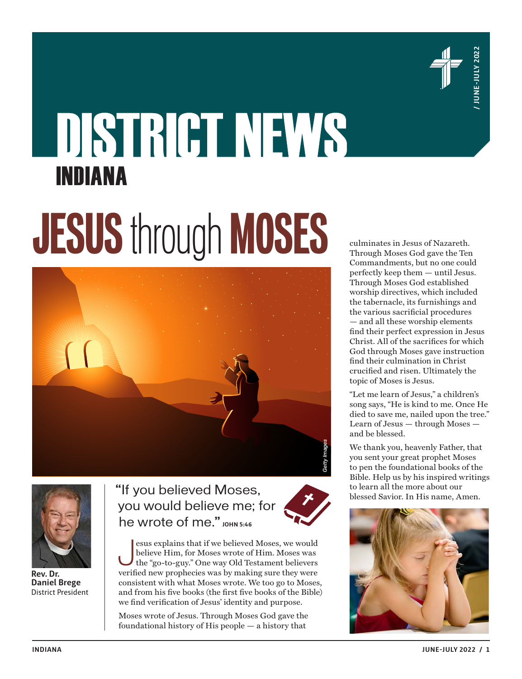

# **DISTRICT NEWS** INDIANA

# **JESUS**through **MOSES**





**Rev. Dr. Daniel Brege** District President

"If you believed Moses, you would believe me; for he wrote of me." **JOHN 5:46**



esus explains that if we believed Moses, we would<br>believe Him, for Moses wrote of Him. Moses was<br>the "go-to-guy." One way Old Testament believers<br>verified new prophecies was by making sure they were esus explains that if we believed Moses, we would believe Him, for Moses wrote of Him. Moses was the "go-to-guy." One way Old Testament believers consistent with what Moses wrote. We too go to Moses, and from his five books (the first five books of the Bible) we find verification of Jesus' identity and purpose.

Moses wrote of Jesus. Through Moses God gave the foundational history of His people — a history that

culminates in Jesus of Nazareth. Through Moses God gave the Ten Commandments, but no one could perfectly keep them — until Jesus. Through Moses God established worship directives, which included the tabernacle, its furnishings and the various sacrificial procedures — and all these worship elements find their perfect expression in Jesus Christ. All of the sacrifices for which God through Moses gave instruction find their culmination in Christ crucified and risen. Ultimately the topic of Moses is Jesus.

"Let me learn of Jesus," a children's song says, "He is kind to me. Once He died to save me, nailed upon the tree." Learn of Jesus — through Moses and be blessed.

We thank you, heavenly Father, that you sent your great prophet Moses to pen the foundational books of the Bible. Help us by his inspired writings to learn all the more about our<br>blessed Savior. In His name, Amen.

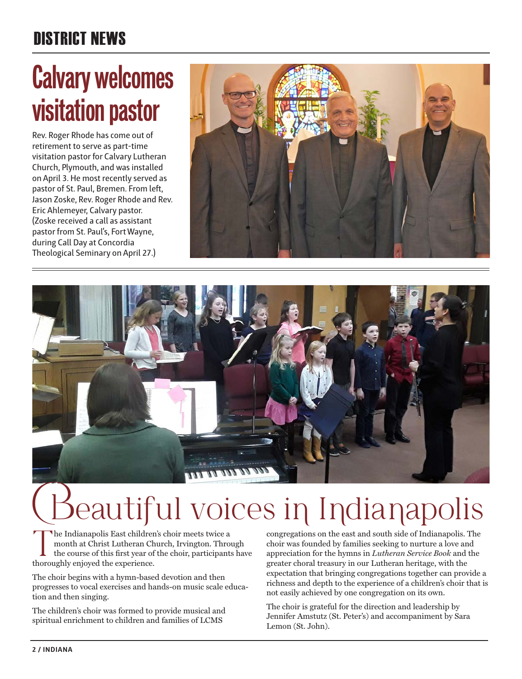## DISTRICT NEWS

# **Calvary welcomes visitation pastor**

Rev. Roger Rhode has come out of retirement to serve as part-time visitation pastor for Calvary Lutheran Church, Plymouth, and was installed on April 3. He most recently served as pastor of St. Paul, Bremen. From left, Jason Zoske, Rev. Roger Rhode and Rev. Eric Ahlemeyer, Calvary pastor. (Zoske received a call as assistant pastor from St. Paul's, Fort Wayne, during Call Day at Concordia Theological Seminary on April 27.)





# Beautiful voices in Indianapolis

The Indianapolis East children's choir meets twice a month at Christ Lutheran Church, Irvington. Through the course of this first year of the choir, participants have thoroughly enjoyed the experience.

The choir begins with a hymn-based devotion and then progresses to vocal exercises and hands-on music scale education and then singing.

The children's choir was formed to provide musical and spiritual enrichment to children and families of LCMS

congregations on the east and south side of Indianapolis. The choir was founded by families seeking to nurture a love and appreciation for the hymns in *Lutheran Service Book* and the greater choral treasury in our Lutheran heritage, with the expectation that bringing congregations together can provide a richness and depth to the experience of a children's choir that is not easily achieved by one congregation on its own.

The choir is grateful for the direction and leadership by Jennifer Amstutz (St. Peter's) and accompaniment by Sara Lemon (St. John).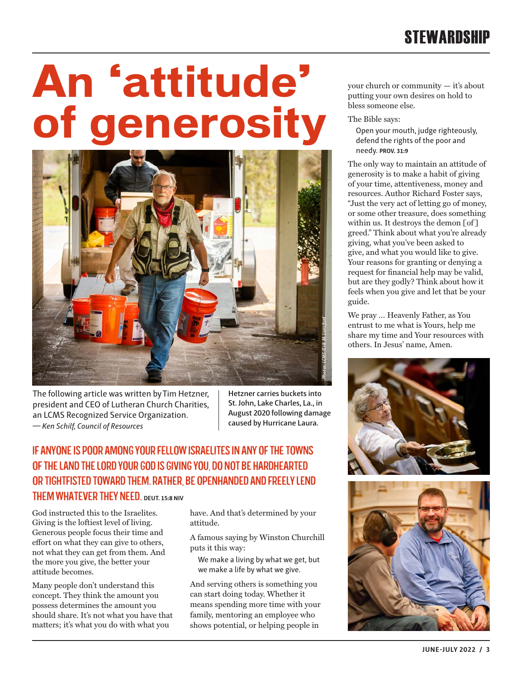## STEWARDSHIP

# **An 'attitude' of generosity**



The following article was written by Tim Hetzner, president and CEO of Lutheran Church Charities, an LCMS Recognized Service Organization. *— Ken Schilf, Council of Resources*

**Hetzner carries buckets into St. John, Lake Charles, La., in August 2020 following damage caused by Hurricane Laura.**

#### If anyone is poor among your fellow Israelites in any of the towns of the land the Lord your God is giving you, do not be hardhearted or tightfisted toward them. Rather, be openhanded and freely lend them whatever they need. **DEUT. 15:8 NIV**

God instructed this to the Israelites. Giving is the loftiest level of living. Generous people focus their time and effort on what they can give to others, not what they can get from them. And the more you give, the better your attitude becomes.

Many people don't understand this concept. They think the amount you possess determines the amount you should share. It's not what you have that matters; it's what you do with what you

have. And that's determined by your attitude.

A famous saying by Winston Churchill puts it this way:

We make a living by what we get, but we make a life by what we give.

And serving others is something you can start doing today. Whether it means spending more time with your family, mentoring an employee who shows potential, or helping people in

your church or community — it's about putting your own desires on hold to bless someone else.

#### The Bible says:

Open your mouth, judge righteously, defend the rights of the poor and needy. **PROV. 31:9** 

The only way to maintain an attitude of generosity is to make a habit of giving of your time, attentiveness, money and resources. Author Richard Foster says, "Just the very act of letting go of money, or some other treasure, does something within us. It destroys the demon [of] greed." Think about what you're already giving, what you've been asked to give, and what you would like to give. Your reasons for granting or denying a request for financial help may be valid, but are they godly? Think about how it feels when you give and let that be your guide.

We pray … Heavenly Father, as You entrust to me what is Yours, help me share my time and Your resources with others. In Jesus' name, Amen.



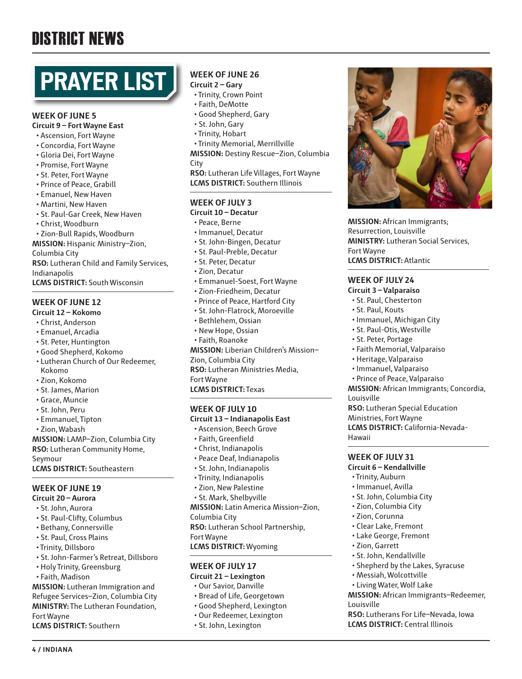## DISTRICT NEWS

# **PRAYER LIST**

#### **WEEK OF JUNE 5**

#### **Circuit 9 – Fort Wayne East**

- Ascension, Fort Wayne
- Concordia, Fort Wayne
- Gloria Dei, Fort Wayne
- Promise, Fort Wayne
- St. Peter, Fort Wayne
- Prince of Peace, Grabill
- Emanuel, New Haven
- Martini, New Haven
- St. Paul-Gar Creek, New Haven
- Christ, Woodburn
- Zion-Bull Rapids, Woodburn

**MISSION:** Hispanic Ministry–Zion,

Columbia City

**RSO:** Lutheran Child and Family Services, Indianapolis

**LCMS DISTRICT:** South Wisconsin

#### **WEEK OF ILINE 12**

#### **Circuit 12 – Kokomo**

- Christ, Anderson
- Emanuel, Arcadia
- St. Peter, Huntington
- Good Shepherd, Kokomo
- Lutheran Church of Our Redeemer, Kokomo
- Zion, Kokomo
- St. James, Marion
- Grace, Muncie
- St. John, Peru
- Emmanuel, Tipton
- Zion, Wabash

**MISSION:** LAMP–Zion, Columbia City **RSO:** Lutheran Community Home, Seymour **LCMS DISTRICT:** Southeastern

#### **WEEK OF JUNE 19**

#### **Circuit 20 – Aurora**

- St. John, Aurora
- St. Paul-Clifty, Columbus
- Bethany, Connersville
- St. Paul, Cross Plains
- Trinity, Dillsboro
- St. John-Farmer's Retreat, Dillsboro
- Holy Trinity, Greensburg
- Faith, Madison

**4 / INDIANA**

**MISSION:** Lutheran Immigration and Refugee Services–Zion, Columbia City **MINISTRY:** The Lutheran Foundation, Fort Wayne **LCMS DISTRICT:** Southern

#### **WEEK OF JUNE 26**

- **Circuit 2 Gary**
- Trinity, Crown Point
- Faith, DeMotte
- Good Shepherd, Gary
- St. John, Gary
- Trinity, Hobart
- Trinity Memorial, Merrillville
- **MISSION:** Destiny Rescue–Zion, Columbia City
- **RSO:** Lutheran Life Villages, Fort Wayne **LCMS DISTRICT:** Southern Illinois

#### **WEEK OF JULY 3**

#### **Circuit 10 – Decatur**

- Peace, Berne
- Immanuel, Decatur
- St. John-Bingen, Decatur
- St. Paul-Preble, Decatur
- St. Peter, Decatur
- Zion, Decatur
- Emmanuel-Soest, Fort Wayne
- Zion-Friedheim, Decatur
- Prince of Peace, Hartford City
- St. John-Flatrock, Moroeville
- Bethlehem, Ossian
- New Hope, Ossian
- Faith, Roanoke
- **MISSION:** Liberian Children's Mission–
- Zion, Columbia City
- **RSO:** Lutheran Ministries Media,
- Fort Wayne **LCMS DISTRICT:** Texas

#### **WEEK OF JULY 10**

#### **Circuit 13 – Indianapolis East**

- Ascension, Beech Grove
- Faith, Greenfield
- Christ, Indianapolis
- Peace Deaf, Indianapolis
- St. John, Indianapolis
- Trinity, Indianapolis
- Zion, New Palestine
- St. Mark, Shelbyville
- **MISSION:** Latin America Mission–Zion,
- Columbia City
- **RSO:** Lutheran School Partnership,
- Fort Wayne
- **LCMS DISTRICT:** Wyoming

#### **WEEK OF JULY 17**

- **Circuit 21 Lexington**
- Our Savior, Danville
- Bread of Life, Georgetown
- Good Shepherd, Lexington
- Our Redeemer, Lexington
- St. John, Lexington

**MISSION:** African Immigrants; Resurrection, Louisville **MINISTRY:** Lutheran Social Services, Fort Wayne **LCMS DISTRICT:** Atlantic

#### **WEEK OF JULY 24**

#### **Circuit 3 – Valparaiso**

• St. Paul, Chesterton

• Immanuel, Michigan City • St. Paul-Otis, Westville • St. Peter, Portage

• Faith Memorial, Valparaiso • Heritage, Valparaiso • Immanuel, Valparaiso • Prince of Peace, Valparaiso

**RSO:** Lutheran Special Education

**LCMS DISTRICT:** California-Nevada-

• Shepherd by the Lakes, Syracuse

**MISSION:** African Immigrants–Redeemer,

**RSO:** Lutherans For Life–Nevada, Iowa **LCMS DISTRICT:** Central Illinois

Ministries, Fort Wayne

**WEEK OF JULY 31 Circuit 6 – Kendallville** • Trinity, Auburn • Immanuel, Avilla • St. John, Columbia City • Zion, Columbia City • Zion, Corunna • Clear Lake, Fremont • Lake George, Fremont

• Zion, Garrett • St. John, Kendallville

Louisville

• Messiah, Wolcottville • Living Water, Wolf Lake

**MISSION:** African Immigrants; Concordia,

• St. Paul, Kouts

Louisville

Hawaii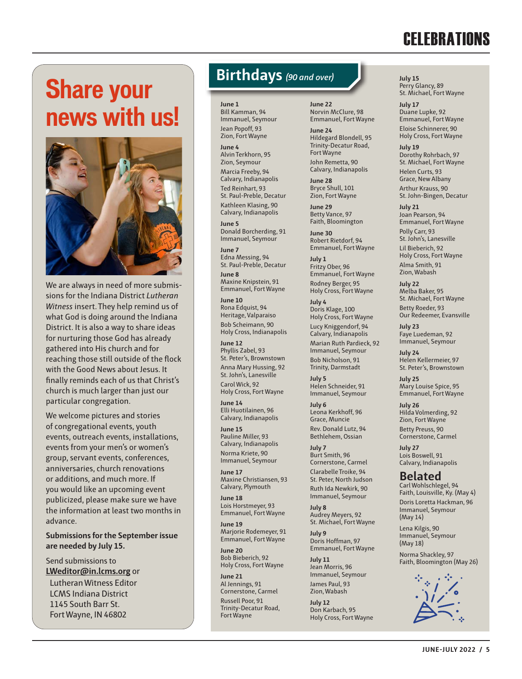## **CELEBRATIONS**

# **Share your news with us!**



We are always in need of more submissions for the Indiana District *Lutheran Witness* insert. They help remind us of what God is doing around the Indiana District. It is also a way to share ideas for nurturing those God has already gathered into His church and for reaching those still outside of the flock with the Good News about Jesus. It finally reminds each of us that Christ's church is much larger than just our particular congregation.

We welcome pictures and stories of congregational events, youth events, outreach events, installations, events from your men's or women's group, servant events, conferences, anniversaries, church renovations or additions, and much more. If you would like an upcoming event publicized, please make sure we have the information at least two months in advance.

**Submissions for the September issue are needed by July 15.**

Send submissions to **LWeditor@in.lcms.org** or

Lutheran Witness Editor LCMS Indiana District 1145 South Barr St. Fort Wayne, IN 46802

### **Birthdays** *(90 and over)*

**June 1** Bill Kamman, 94 Immanuel, Seymour Jean Popoff, 93 Zion, Fort Wayne

**June 4** Alvin Terkhorn, 95 Zion, Seymour Marcia Freeby, 94 Calvary, Indianapolis Ted Reinhart, 93 St. Paul-Preble, Decatur Kathleen Klasing, 90 Calvary, Indianapolis

**June 5** Donald Borcherding, 91 Immanuel, Seymour

**June 7** Edna Messing, 94 St. Paul-Preble, Decatur

**June 8** Maxine Knipstein, 91 Emmanuel, Fort Wayne

**June 10** Rona Edquist, 94 Heritage, Valparaiso Bob Scheimann, 90 Holy Cross, Indianapolis

**June 12** Phyllis Zabel, 93 St. Peter's, Brownstown Anna Mary Hussing, 92 St. John's, Lanesville Carol Wick, 92 Holy Cross, Fort Wayne

**June 14** Elli Huotilainen, 96 Calvary, Indianapolis

**June 15** Pauline Miller, 93 Calvary, Indianapolis Norma Kriete, 90 Immanuel, Seymour

**June 17** Maxine Christiansen, 93 Calvary, Plymouth

**June 18** Lois Horstmeyer, 93 Emmanuel, Fort Wayne

**June 19** Marjorie Rodemeyer, 91 Emmanuel, Fort Wayne

**June 20** Bob Bieberich, 92 Holy Cross, Fort Wayne

**June 21** Al Jennings, 91 Cornerstone, Carmel

Russell Poor, 91 Trinity-Decatur Road, Fort Wayne

**June 22** Norvin McClure, 98 Emmanuel, Fort Wayne

**June 24** Hildegard Blondell, 95 Trinity-Decatur Road, Fort Wayne John Remetta, 90

Calvary, Indianapolis **June 28** Bryce Shull, 101 Zion, Fort Wayne

**June 29** Betty Vance, 97 Faith, Bloomington

**June 30** Robert Rietdorf, 94 Emmanuel, Fort Wayne

**July 1** Fritzy Ober, 96 Emmanuel, Fort Wayne Rodney Berger, 95 Holy Cross, Fort Wayne

**July 4** Doris Klage, 100 Holy Cross, Fort Wayne Lucy Kniggendorf, 94 Calvary, Indianapolis Marian Ruth Pardieck, 92

Immanuel, Seymour Bob Nicholson, 91 Trinity, Darmstadt

**July 5** Helen Schneider, 91 Immanuel, Seymour

**July 6** Leona Kerkhoff, 96 Grace, Muncie Rev. Donald Lutz, 94 Bethlehem, Ossian

**July 7** Burt Smith, 96 Cornerstone, Carmel

Clarabelle Troike, 94 St. Peter, North Judson Ruth Ida Newkirk, 90 Immanuel, Seymour

**July 8** Audrey Meyers, 92 St. Michael, Fort Wayne

**July 9** Doris Hoffman, 97 Emmanuel, Fort Wayne

**July 11** Jean Morris, 96 Immanuel, Seymour James Paul, 93 Zion, Wabash

**July 12** Don Karbach, 95 Holy Cross, Fort Wayne **July 15** Perry Glancy, 89 St. Michael, Fort Wayne

**July 17** Duane Lupke, 92 Emmanuel, Fort Wayne Eloise Schinnerer, 90 Holy Cross, Fort Wayne

**July 19** Dorothy Rohrbach, 97 St. Michael, Fort Wayne Helen Curts, 93 Grace, New Albany Arthur Krauss, 90 St. John-Bingen, Decatur

**July 21** Joan Pearson, 94 Emmanuel, Fort Wayne Polly Carr, 93 St. John's, Lanesville Lil Bieberich, 92

Holy Cross, Fort Wayne Alma Smith, 91 Zion, Wabash

**July 22** Melba Baker, 95 St. Michael, Fort Wayne Betty Roeder, 93 Our Redeemer, Evansville

**July 23** Faye Luedeman, 92 Immanuel, Seymour

**July 24** Helen Kellermeier, 97 St. Peter's, Brownstown

**July 25** Mary Louise Spice, 95 Emmanuel, Fort Wayne

**July 26** Hilda Volmerding, 92 Zion, Fort Wayne Betty Preuss, 90 Cornerstone, Carmel

**July 27** Lois Boswell, 91 Calvary, Indianapolis

#### **Belated**

Carl Wohlschlegel, 94 Faith, Louisville, Ky. (May 4) Doris Loretta Hackman, 96 Immanuel, Seymour (May 14)

Lena Kilgis, 90 Immanuel, Seymour (May 18)

Norma Shackley, 97 Faith, Bloomington (May 26)

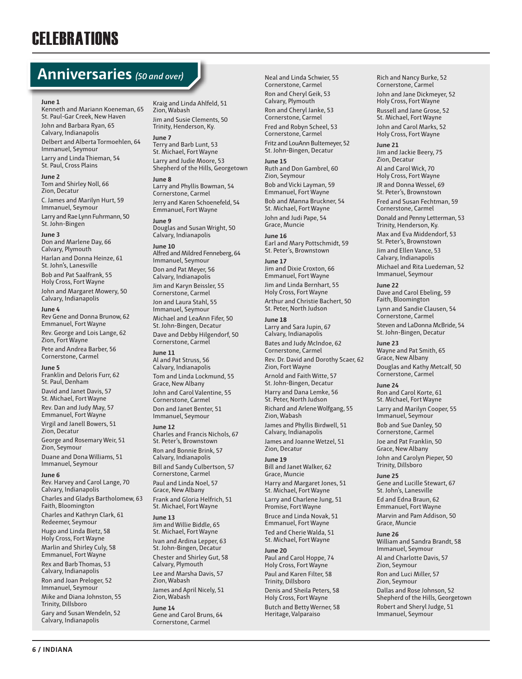## **CELEBRATIONS**

### **Anniversaries** *(50 and over)*

#### **June 1**

Kenneth and Mariann Koeneman, 65 St. Paul-Gar Creek, New Haven John and Barbara Ryan, 65 Calvary, Indianapolis Delbert and Alberta Tormoehlen, 64 Immanuel, Seymour Larry and Linda Thieman, 54 St. Paul, Cross Plains

#### **June 2**

Tom and Shirley Noll, 66 Zion, Decatur C. James and Marilyn Hurt, 59 Immanuel, Seymour

Larry and Rae Lynn Fuhrmann, 50 St. John-Bingen

#### **June 3**

Don and Marlene Day, 66 Calvary, Plymouth Harlan and Donna Heinze, 61 St. John's, Lanesville Bob and Pat Saalfrank, 55 Holy Cross, Fort Wayne

John and Margaret Mowery, 50 Calvary, Indianapolis

#### **June 4**

Rev Gene and Donna Brunow, 62 Emmanuel, Fort Wayne

Rev. George and Lois Lange, 62 Zion, Fort Wayne Pete and Andrea Barber, 56

Cornerstone, Carmel

#### **June 5**

Franklin and Deloris Furr, 62 St. Paul, Denham David and Janet Davis, 57 St. Michael, Fort Wayne Rev. Dan and Judy May, 57 Emmanuel, Fort Wayne Virgil and Janell Bowers, 51 Zion, Decatur George and Rosemary Weir, 51 Zion, Seymour Duane and Dona Williams, 51 Immanuel, Seymour **June 6**

Rev. Harvey and Carol Lange, 70 Calvary, Indianapolis Charles and Gladys Bartholomew, 63 Faith, Bloomington Charles and Kathryn Clark, 61 Redeemer, Seymour Hugo and Linda Bietz, 58 Holy Cross, Fort Wayne Marlin and Shirley Culy, 58 Emmanuel, Fort Wayne Rex and Barb Thomas, 53 Calvary, Indianapolis Ron and Joan Preloger, 52 Immanuel, Seymour Mike and Diana Johnston, 55 Trinity, Dillsboro Gary and Susan Wendeln, 52 Calvary, Indianapolis

Kraig and Linda Ahlfeld, 51 Zion, Wabash Jim and Susie Clements, 50 Trinity, Henderson, Ky.

**June 7**

Terry and Barb Lunt, 53 St. Michael, Fort Wayne Larry and Judie Moore, 53 Shepherd of the Hills, Georgetown

**June 8** Larry and Phyllis Bowman, 54 Cornerstone, Carmel Jerry and Karen Schoenefeld, 54 Emmanuel, Fort Wayne

#### **June 9**

Douglas and Susan Wright, 50 Calvary, Indianapolis

#### **June 10**

Alfred and Mildred Fenneberg, 64 Immanuel, Seymour Don and Pat Meyer, 56 Calvary, Indianapolis Jim and Karyn Beissler, 55 Cornerstone, Carmel Jon and Laura Stahl, 55 Immanuel, Seymour Michael and LeaAnn Fifer, 50 St. John-Bingen, Decatur Dave and Debby Hilgendorf, 50 Cornerstone, Carmel

#### **June 11**

Al and Pat Struss, 56 Calvary, Indianapolis Tom and Linda Lockmund, 55 Grace, New Albany John and Carol Valentine, 55 Cornerstone, Carmel Don and Janet Benter, 51 Immanuel, Seymour

#### **June 12**

Charles and Francis Nichols, 67 St. Peter's, Brownstown Ron and Bonnie Brink, 57 Calvary, Indianapolis Bill and Sandy Culbertson, 57 Cornerstone, Carmel Paul and Linda Noel, 57 Grace, New Albany Frank and Gloria Helfrich, 51 St. Michael, Fort Wayne

#### **June 13**

Jim and Willie Biddle, 65 St. Michael, Fort Wayne Ivan and Ardina Lepper, 63 St. John-Bingen, Decatur Chester and Shirley Gut, 58 Calvary, Plymouth Lee and Marsha Davis, 57 Zion, Wabash James and April Nicely, 51 Zion, Wabash **June 14** Gene and Carol Bruns, 64 Cornerstone, Carmel

Neal and Linda Schwier, 55 Cornerstone, Carmel Ron and Cheryl Geik, 53 Calvary, Plymouth Ron and Cheryl Janke, 53 Cornerstone, Carmel Fred and Robyn Scheel, 53 Cornerstone, Carmel Fritz and LouAnn Bultemeyer, 52 St. John-Bingen, Decatur

**June 15** Ruth and Don Gambrel, 60 Zion, Seymour Bob and Vicki Layman, 59 Emmanuel, Fort Wayne Bob and Manna Bruckner, 54 St. Michael, Fort Wayne John and Judi Pape, 54 Grace, Muncie

#### **June 16**

Earl and Mary Pottschmidt, 59 St. Peter's, Brownstown

#### **June 17**

Jim and Dixie Croxton, 66 Emmanuel, Fort Wayne Jim and Linda Bernhart, 55 Holy Cross, Fort Wayne Arthur and Christie Bachert, 50 St. Peter, North Judson

#### **June 18**

Larry and Sara Jupin, 67 Calvary, Indianapolis Bates and Judy McIndoe, 62 Cornerstone, Carmel Rev. Dr. David and Dorothy Scaer, 62 Zion, Fort Wayne Arnold and Faith Witte, 57 St. John-Bingen, Decatur Harry and Dana Lemke, 56 St. Peter, North Judson Richard and Arlene Wolfgang, 55 Zion, Wabash James and Phyllis Birdwell, 51 Calvary, Indianapolis James and Joanne Wetzel, 51 Zion, Decatur

#### **June 19**

Bill and Janet Walker, 62 Grace, Muncie Harry and Margaret Jones, 51 St. Michael, Fort Wayne Larry and Charlene Jung, 51 Promise, Fort Wayne Bruce and Linda Novak, 51 Emmanuel, Fort Wayne Ted and Cherie Walda, 51 St. Michael, Fort Wayne

#### **June 20**

Paul and Carol Hoppe, 74 Holy Cross, Fort Wayne Paul and Karen Filter, 58 Trinity, Dillsboro Denis and Sheila Peters, 58 Holy Cross, Fort Wayne Butch and Betty Werner, 58 Heritage, Valparaiso

Rich and Nancy Burke, 52 Cornerstone, Carmel John and Jane Dickmeyer, 52 Holy Cross, Fort Wayne Russell and Jane Grose, 52 St. Michael, Fort Wayne John and Carol Marks, 52 Holy Cross, Fort Wayne

#### **June 21** Jim and Jackie Beery, 75 Zion, Decatur Al and Carol Wick, 70

Holy Cross, Fort Wayne JR and Donna Wessel, 69 St. Peter's, Brownstown

Fred and Susan Fechtman, 59 Cornerstone, Carmel

Donald and Penny Letterman, 53 Trinity, Henderson, Ky. Max and Eva Middendorf, 53

St. Peter's, Brownstown Jim and Ellen Vance, 53

Calvary, Indianapolis Michael and Rita Luedeman, 52

Immanuel, Seymour

#### **June 22**

Dave and Carol Ebeling, 59 Faith, Bloomington Lynn and Sandie Clausen, 54 Cornerstone, Carmel

Steven and LaDonna McBride, 54 St. John-Bingen, Decatur

#### **June 23**

Wayne and Pat Smith, 65 Grace, New Albany Douglas and Kathy Metcalf, 50 Cornerstone, Carmel

#### **June 24**

Ron and Carol Korte, 61 St. Michael, Fort Wayne Larry and Marilyn Cooper, 55 Immanuel, Seymour

Bob and Sue Danley, 50 Cornerstone, Carmel

Joe and Pat Franklin, 50 Grace, New Albany

John and Carolyn Pieper, 50 Trinity, Dillsboro

#### **June 25**

Gene and Lucille Stewart, 67 St. John's, Lanesville Ed and Edna Braun, 62 Emmanuel, Fort Wayne Marvin and Pam Addison, 50 Grace, Muncie

#### **June 26**

William and Sandra Brandt, 58 Immanuel, Seymour Al and Charlotte Davis, 57 Zion, Seymour Ron and Luci Miller, 57 Zion, Seymour Dallas and Rose Johnson, 52 Shepherd of the Hills, Georgetown Robert and Sheryl Judge, 51 Immanuel, Seymour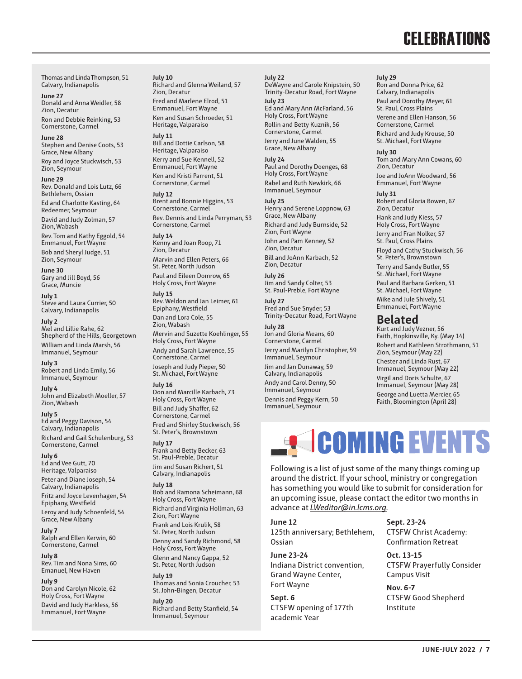### **CELEBRATIONS**

Thomas and Linda Thompson, 51 Calvary, Indianapolis

**June 27** Donald and Anna Weidler, 58 Zion, Decatur Ron and Debbie Reinking, 53

Cornerstone, Carmel **June 28**

Stephen and Denise Coots, 53 Grace, New Albany Roy and Joyce Stuckwisch, 53 Zion, Seymour

**June 29** Rev. Donald and Lois Lutz, 66 Bethlehem, Ossian

Ed and Charlotte Kasting, 64 Redeemer, Seymour

David and Judy Zolman, 57 Zion, Wabash

Rev. Tom and Kathy Eggold, 54 Emmanuel, Fort Wayne Bob and Sheryl Judge, 51

Zion, Seymour **June 30** Gary and Jill Boyd, 56 Grace, Muncie

**July 1** Steve and Laura Currier, 50 Calvary, Indianapolis

**July 2** Mel and Lillie Rahe, 62 Shepherd of the Hills, Georgetown William and Linda Marsh, 56 Immanuel, Seymour

**July 3** Robert and Linda Emily, 56 Immanuel, Seymour

**July 4** John and Elizabeth Moeller, 57 Zion, Wabash

**July 5** Ed and Peggy Davison, 54 Calvary, Indianapolis Richard and Gail Schulenburg, 53 Cornerstone, Carmel

**July 6** Ed and Vee Gutt, 70 Heritage, Valparaiso Peter and Diane Joseph, 54 Calvary, Indianapolis Fritz and Joyce Levenhagen, 54 Epiphany, Westfield Leroy and Judy Schoenfeld, 54 Grace, New Albany

**July 7** Ralph and Ellen Kerwin, 60 Cornerstone, Carmel

**July 8** Rev. Tim and Nona Sims, 60 Emanuel, New Haven **July 9** Don and Carolyn Nicole, 62 Holy Cross, Fort Wayne

David and Judy Harkless, 56 Emmanuel, Fort Wayne

**July 10**

Richard and Glenna Weiland, 57 Zion, Decatur Fred and Marlene Elrod, 51 Emmanuel, Fort Wayne Ken and Susan Schroeder, 51 Heritage, Valparaiso

**July 11** Bill and Dottie Carlson, 58 Heritage, Valparaiso Kerry and Sue Kennell, 52 Emmanuel, Fort Wayne Ken and Kristi Parrent, 51 Cornerstone, Carmel

**July 12** Brent and Bonnie Higgins, 53 Cornerstone, Carmel Rev. Dennis and Linda Perryman, 53 Cornerstone, Carmel

**July 14** Kenny and Joan Roop, 71 Zion, Decatur Marvin and Ellen Peters, 66 St. Peter, North Judson Paul and Eileen Domrow, 65 Holy Cross, Fort Wayne

#### **July 15** Rev. Weldon and Jan Leimer, 61 Epiphany, Westfield Dan and Lora Cole, 55 Zion, Wabash Mervin and Suzette Koehlinger, 55 Holy Cross, Fort Wayne Andy and Sarah Lawrence, 55

Cornerstone, Carmel Joseph and Judy Pieper, 50 St. Michael, Fort Wayne **July 16**

Don and Marcille Karbach, 73 Holy Cross, Fort Wayne Bill and Judy Shaffer, 62 Cornerstone, Carmel Fred and Shirley Stuckwisch, 56 St. Peter's, Brownstown

**July 17** Frank and Betty Becker, 63 St. Paul-Preble, Decatur Jim and Susan Richert, 51

Calvary, Indianapolis **July 18**

Bob and Ramona Scheimann, 68 Holy Cross, Fort Wayne Richard and Virginia Hollman, 63 Zion, Fort Wayne Frank and Lois Krulik, 58 St. Peter, North Judson Denny and Sandy Richmond, 58

Holy Cross, Fort Wayne Glenn and Nancy Gappa, 52 St. Peter, North Judson

**July 19** Thomas and Sonia Croucher, 53 St. John-Bingen, Decatur

**July 20** Richard and Betty Stanfield, 54 Immanuel, Seymour

#### **July 22**

DeWayne and Carole Knipstein, 50 Trinity-Decatur Road, Fort Wayne **July 23** Ed and Mary Ann McFarland, 56 Holy Cross, Fort Wayne Rollin and Betty Kuznik, 56 Cornerstone, Carmel Jerry and June Walden, 55 Grace, New Albany

**July 24** Paul and Dorothy Doenges, 68 Holy Cross, Fort Wayne Rabel and Ruth Newkirk, 66 Immanuel, Seymour

**July 25** Henry and Serene Loppnow, 63 Grace, New Albany Richard and Judy Burnside, 52 Zion, Fort Wayne John and Pam Kenney, 52 Zion, Decatur Bill and JoAnn Karbach, 52 Zion, Decatur

**July 26** Jim and Sandy Colter, 53 St. Paul-Preble, Fort Wayne

**July 27** Fred and Sue Snyder, 53 Trinity-Decatur Road, Fort Wayne

**July 28** Jon and Gloria Means, 60 Cornerstone, Carmel Jerry and Marilyn Christopher, 59 Immanuel, Seymour Jim and Jan Dunaway, 59 Calvary, Indianapolis Andy and Carol Denny, 50 Immanuel, Seymour Dennis and Peggy Kern, 50 Immanuel, Seymour

#### **July 29**

Ron and Donna Price, 62 Calvary, Indianapolis Paul and Dorothy Meyer, 61 St. Paul, Cross Plains Verene and Ellen Hanson, 56 Cornerstone, Carmel Richard and Judy Krouse, 50 St. Michael, Fort Wayne

**July 30** Tom and Mary Ann Cowans, 60 Zion, Decatur Joe and JoAnn Woodward, 56

Emmanuel, Fort Wayne

**July 31** Robert and Gloria Bowen, 67 Zion, Decatur

Hank and Judy Kiess, 57 Holy Cross, Fort Wayne Jerry and Fran Nolker, 57 St. Paul, Cross Plains

Floyd and Cathy Stuckwisch, 56 St. Peter's, Brownstown

Terry and Sandy Butler, 55

St. Michael, Fort Wayne Paul and Barbara Gerken, 51 St. Michael, Fort Wayne Mike and Jule Shively, 51 Emmanuel, Fort Wayne

### **Belated**

Kurt and Judy Vezner, 56 Faith, Hopkinsville, Ky. (May 14) Robert and Kathleen Strothmann, 51 Zion, Seymour (May 22) Chester and Linda Rust, 67 Immanuel, Seymour (May 22) Virgil and Doris Schulte, 67 Immanuel, Seymour (May 28) George and Luetta Mercier, 65 Faith, Bloomington (April 28)

# **COMING EVENTS**

Following is a list of just some of the many things coming up around the district. If your school, ministry or congregation has something you would like to submit for consideration for an upcoming issue, please contact the editor two months in advance at *LWeditor@in.lcms.org.*

**June 12** 125th anniversary; Bethlehem, Ossian

**June 23-24** Indiana District convention, Grand Wayne Center, Fort Wayne

**Sept. 6** CTSFW opening of 177th academic Year

**Sept. 23-24** CTSFW Christ Academy: Confirmation Retreat

**Oct. 13-15** CTSFW Prayerfully Consider Campus Visit

**Nov. 6-7** CTSFW Good Shepherd Institute